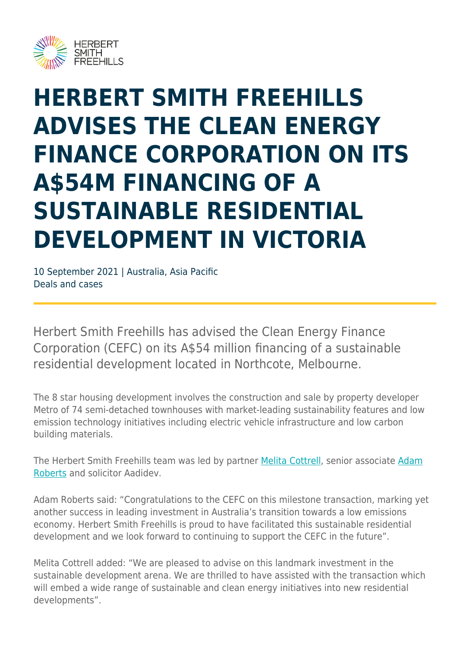

## **HERBERT SMITH FREEHILLS ADVISES THE CLEAN ENERGY FINANCE CORPORATION ON ITS A\$54M FINANCING OF A SUSTAINABLE RESIDENTIAL DEVELOPMENT IN VICTORIA**

10 September 2021 | Australia, Asia Pacific Deals and cases

Herbert Smith Freehills has advised the Clean Energy Finance Corporation (CEFC) on its A\$54 million financing of a sustainable residential development located in Northcote, Melbourne.

The 8 star housing development involves the construction and sale by property developer Metro of 74 semi-detached townhouses with market-leading sustainability features and low emission technology initiatives including electric vehicle infrastructure and low carbon building materials.

The Herbert Smith Freehills team was led by partner [Melita Cottrell,](https://www.herbertsmithfreehills.com/our-people/melita-cottrell) senior associate [Adam](https://www.herbertsmithfreehills.com/our-people/adam-roberts) [Roberts](https://www.herbertsmithfreehills.com/our-people/adam-roberts) and solicitor Aadidev.

Adam Roberts said: "Congratulations to the CEFC on this milestone transaction, marking yet another success in leading investment in Australia's transition towards a low emissions economy. Herbert Smith Freehills is proud to have facilitated this sustainable residential development and we look forward to continuing to support the CEFC in the future".

Melita Cottrell added: "We are pleased to advise on this landmark investment in the sustainable development arena. We are thrilled to have assisted with the transaction which will embed a wide range of sustainable and clean energy initiatives into new residential developments".